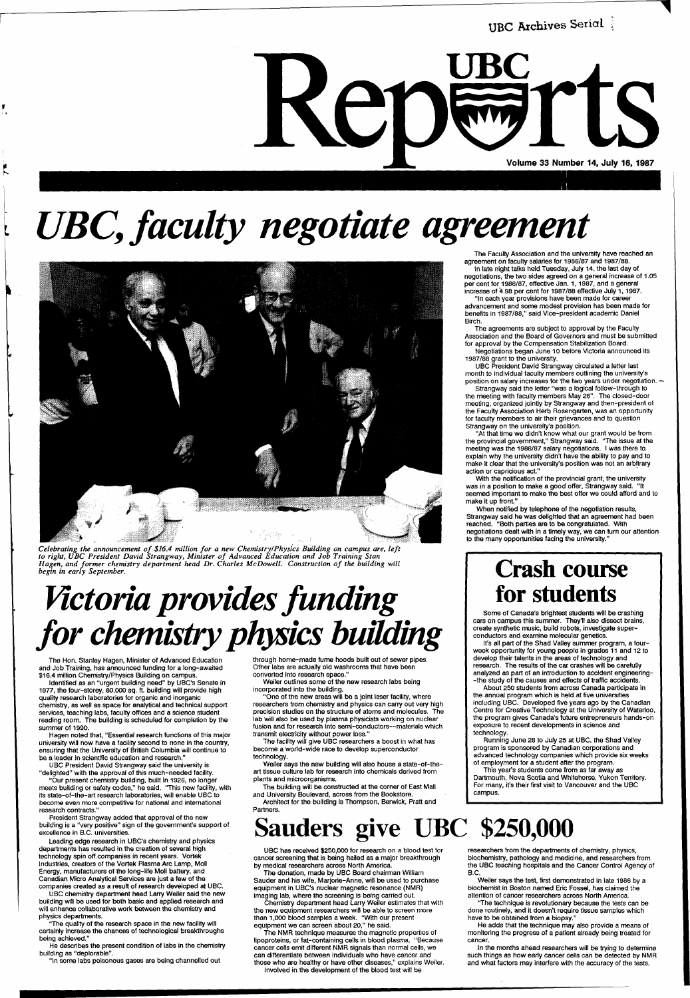

# *UBC, faculty negotiate agreement*



*Celebrating the announcement of \$16.4 million for a new Chemistry I Physics Building on campus are, left to right, UBC President David Strangway, Minister of Advanced Education and Job Training Stan Hagen, and former chemistry department head Dr. Charles McDowell. Construction of the building will begin in early September.* 

# *Victoria provides funding for chemistry physics building*

The Hon. Stanley Hagen, Minister of Advanced Education and Job Training, has announced funding for a long-awaited \$16.4 million Chemistry/Physics Building on campus.

Identified as an "urgent building need" by UBC's Senate in 1977, the four-storey, 80,000 sq. ft. building will provide high quality research laboratories for organic and inorganic chemistry, as well as space for analytical and technical support services, teaching labs, faculty offices and a science student reading room. The building is scheduled for completion by the summer of 1990.

Hagen noted that, "Essential research functions of this major university will now have a facility second to none in the country, ensuring that the University of British Columbia will continue to

be a leader in scientific education and research."

UBC President David Strangway said the university is "delighted" with the approval of this much-needed facility.

"Our present chemistry building, built in 1926, no longer meets building or safety codes," he said. "This new facility, with its state-of-the-art research laboratories, will enable UBC to become even more competitive for national and international research contracts."

President Strangway added that approval of the new building is a "very positive" sign of the government's support of excellence in B.C. universities.

Leading edge research in UBC's chemistry and physics departments has resulted in the creation of several high technology spin off.companies in recent years. Vortek Industries, creators of the Vortek Plasma Arc Lamp, Moli Energy, manufacturers of the long-life Moli battery, and Canadian Micro Analytical Services are just a few of the companies created as a result of research developed at UBC.

UBC chemistry department head Larry Weiler said the new building will be used for both basic and applied research and will enhance collaborative work between the chemistry and physics departments.

'The quality of the research space in the new facility will certainly increase the chances of technological breakthroughs being achieved."

He describes the present condition of labs in the chemistry building as "deplorable".

"In some labs poisonous gases are being channelled out

With the notification of the provincial grant, the university was in a position to make a good offer, Strangway said. "It seemed important to make the best offer we could afford and to make it up front.'

through home-made fume hoods built out of sewer pipes. Other labs are actually old washrooms that have been converted into research space."

When notified by telephone of the negotiation results, Strangway said he was delighted that an agreement had been reached. "Both parties are to be congratulated. With negotiations dealt with in a timely way, we can turn our attention to the many opportunities facing the university.

Weiler outlines some of the new research labs being incorporated into the building.

"One of the new areas will be a joint laser facility, where researchers from chemistry and physics can carry out very high precision studies on the structure of atoms and molecules. The lab will also be used by plasma physicists working on nuclear fusion and for research into semi-conductors—materials which transmit electricity without power loss."

The facility will give UBC researchers a boost in what has become a world-wide race to develop superconductor

technology.

Weiler says the new building will also house a state-of-theart tissue culture lab for research into chemicals derived from plants and microorganisms.

The building will be constructed at the corner of East Mall and University Boulevard, across from the Bookstore.

Architect for the building is Thompson, Berwick, Pratt and Partners.

The Faculty Association and the university have reached an agreement on faculty salaries for 1986/87 and 1987/88.

In late night talks held Tuesday, July 14, the last day of negotiations, the two sides agreed on a general increase of 1.05 per cent for 1986/87, effective Jan. 1, 1987, and a general increase of 4.98 per cent for 1987/88 effective July 1,1987.

"In each year provisions have been made for career advancement and some modest provision has been made for benefits in 1987/88," said Vice-president academic Daniel Birch.

The agreements are subject to approval by the Faculty Association and the Board of Governors and must be submitted for approval by the Compensation Stabilization Board.

Negotiations began June 10 before Victoria announced its 1987/88 grant to the university.

UBC President David Strangway circulated a letter last month to individual faculty members outlining the university's position on salary increases for the two years under negotiation. -

Strangway said the letter "was a logical follow-through to the meeting with faculty members May 26". The closed-door meeting, organized jointly by Strangway and then-president of the Faculty Association Herb Rosengarten, was an opportunity for faculty members to air their grievances and to question Strangway on the university's position.

"At that time we didn't know what our grant would be from the provincial government," Strangway said. 'The issue at the meeting was the 1986/87 salary negotiations. I was there to. explain why the university didn't have the ability to pay and to make it clear that the university's position was not an arbitrary action or capricious act."

### **Crash course for students**

Some of Canada's brightest students will be crashing cars on campus this summer. They'll also dissect brains, create synthetic music, build robots, investigate superconductors and examine molecular genetics.

It's all part of the Shad Valley summer program, a fourweek opportunity for young people in grades 11 and 12 to develop their talents in the areas of technology and research. The results of the car crashes will be carefully analyzed as part of an introduction to accident engineering- -the study of the causes and effects of traffic accidents.

About 250 students from across Canada participate in the annual program which is held at five universities including UBC. Developed five years ago by the Canadian Centre for Creative Technology at the University of Waterloo, the program gives Canada's future entrepreneurs hands-on exposure to recent developments in science and technology.

Running June 28 to July 25 at UBC, the Shad Valley program is sponsored by Canadian corporations and

advanced technology companies which provide six weeks of employment for a student after the program.

This year's students come from as far away as Dartmouth, Nova Scotia and Whitehorse, Yukon Territory. For many, it's their first visit to Vancouver and the UBC campus.

## **Sauders give UBC \$250,000**

UBC has received \$250,000 for research on a blood test for cancer screening that is being hailed as a major breakthrough by medical researchers across North America.

The donation, made by UBC Board chairman William Sauder and his wife, Marjorie-Anne, will be used to purchase equipment in UBC's nuclear magnetic resonance (NMR) imaging lab, where the screening is being carried out.

Chemistry department head Larry Weiler estimates that with the new equipment researchers will be able to screen more than 1,000 blood samples a week. "With our present equipment we can screen about 20," he said.

The NMR technique measures the magnetic properties of lipoproteins, or fat-containing cells in blood plasma. "Because cancer cells emit different NMR signals than normal cells, we can differentiate between individuals who have cancer and those who are healthy or have other diseases," explains Weiler. Involved in the development of the blood test will be

researchers from the departments of chemistry, physics, biochemistry, pathology and medicine, and researchers from the UBC teaching hospitals and the Cancer Control Agency of B.C.

Weiler says the test, first demonstrated in late 1986 by a biochemist in Boston named Eric Fossel, has claimed the attention of cancer researchers across North America.

"The technique is revolutionary because the tests can be done routinely, and it doesn't require tissue samples which have to be obtained from a biopsy."

He adds that the technique may also provide a means of monitoring the progress of a patient already being treated for cancer.

In the months ahead researchers will be trying to determine such things as how early cancer cells can be detected by NMR and what factors may interfere with the accuracy of the tests.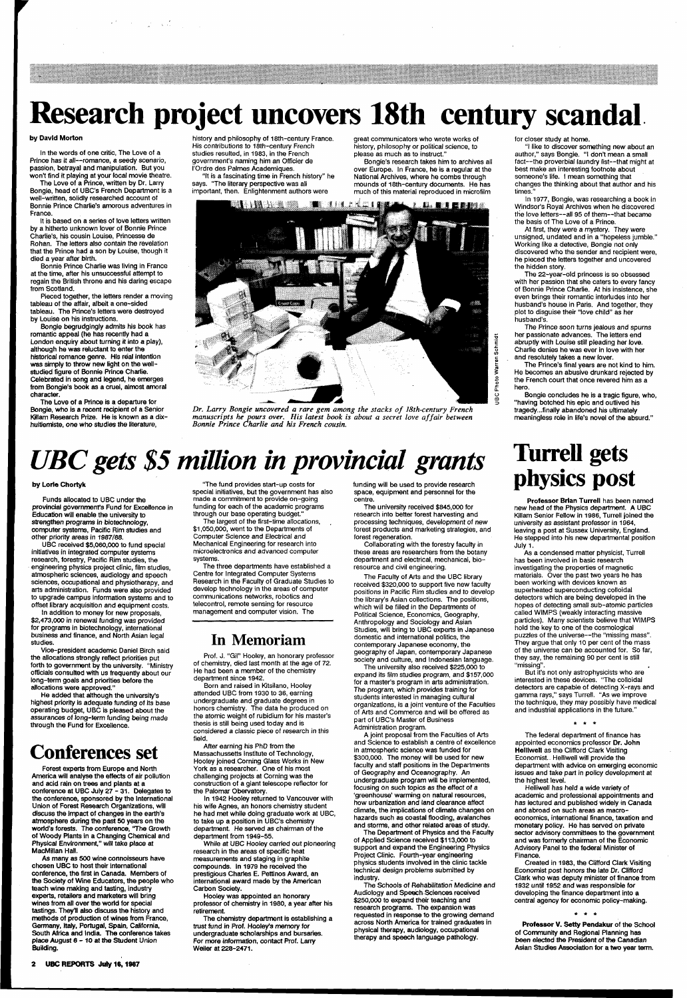# **Research project uncovers 18th century scandal**

#### by David Morton

In the words of one critic, The Love of a Prince has it all—romance, a seedy scenario, passion, betrayal and manipulation. But you won't find it playing at your local movie theatre.

 $\mathcal{L} = \mathcal{L}$ 

The Love of a Prince, written by Dr. Larry Bongie, head of UBC's French Department is a well-written, solidly researched account of Bonnie Prince Charlie's amorous adventures in France.

It is based on a series of love letters written by a hitherto unknown lover of Bonnie Prince Charlie's, his cousin Louise, Princesse de Rohan. The letters also contain the revelation that the Prince had a son by Louise, though it died a year after birth.

Bonnie Prince Charlie was living in France at the time, after his unsuccessful attempt to regain the British throne and his daring escape from Scotland.

Pieced together, the letters render a moving tableau of the affair, albeit a one-sided tableau. The Prince's letters were destroyed by Louise on his instructions.

Bongie begrudgingly admits his book has romantic appeal (he has recently had a London enquiry about turning it into a play), although he was reluctant to enter the historical romance genre. His real intention was simply to throw new light on the wellstudied figure of Bonnie Prince Charlie. Celebrated in song and legend, he emerges from Bongie's book as a cruel, almost amoral character.

The Love of a Prince is a departure for Bongie, who is a recent recipient of a Senior Killam Research Prize. He is known as a dixhuitiemiste, one who studies the literature,

history and philosophy of 18th-century France. His contributions to 18th-century French studies resulted, in 1983, in the French government's naming him an Officier de I'Ordre des Palmes Academiques.

"It is a fascinating time in French history" he says. "The literary perspective was all important, then. Enlightenment authors were

> <u> La Berne</u> n mars s **THE REAL**

great communicators who wrote works of history, philosophy or political science, to

please as much as to instruct."

Bongie's research takes him to archives all over Europe. In France, he is a regular at the National Archives, where he combs through mounds of 18th-century documents. He has much of this material reproduced in microfilm



*Dr. Larry Bongie uncovered a rare gem among the stacks of 18th-century French manuscripts he pours over. His latest book is about a secret love affair between Bonnie Prince Charlie and his French cousin.* 

for closer study at home.

"I like to discover something new about an author," says Bongie. "I dont mean a small fact--the proverbial laundry list--that might at best make an interesting footnote about someone's life. I mean something that changes the thinking about that author and his times."

In 1977, Bongie, was researching a book in Windsor's Royal Archives when he discovered the love letters—all 95 of them—that became the basis of The Love of a Prince.

At first, they were a mystery. They were unsigned, undated and in a "hopeless jumble." Working like a detective, Bongie not only discovered who the sender and recipient were, he pieced the letters together and uncovered the hidden story.

The 22-year-old princess is so obsessed with her passion that she caters to every fancy of Bonnie Prince Charlie. At his insistence, she even brings their romantic interludes into her husband's house in Paris. And together, they plot to disguise their "love child" as her husband's.

The Prince soon turns jealous and spurns her passionate advances. The letters end abruptly with Louise still pleading her love. Charlie denies he was ever in love with her and resolutely takes a new lover.

The Prince's final years are not kind to him. He becomes an abusive drunkard rejected by the French court that once revered him as a hero.

Bongie concludes he is a tragic figure, who, "having botched his epic and outlived his tragedy...finally abandoned his ultimately meaningless role in life's novel of the absurd."

# *UBC gets \$5 million in provincial grants*

#### by Lorie Chortyk

Funds allocated to UBC under the provincial government's Fund for Excellence in Education will enable the university to strengthen programs in biotechnology, computer systems, Pacific Rim studies and other priority areas in 1987/88.

UBC received \$5,060,000 to fund special initiatives in integrated computer systems research, forestry, Pacific Rim studies, the engineering physics project clinic, film studies, atmospheric sciences, audiology and speech sciences, occupational and physiotherapy, and arts administration. Funds were also provided to upgrade campus information systems and to offset library acquisition and equipment costs.

In addition to money for new proposals, \$2,473,000 in renewal funding was provided for programs in biotechnology, international business and finance, and North Asian legal studies.

Vice-president academic Daniel Birch said the allocations strongly reflect priorities put forth to government by the university. "Ministry officials consulted with us frequently about our long-term goals and priorities before the allocations were approved."

He added that although the university's highest priority is adequate funding of its base operating budget, UBC is pleased about the assurances of long-term funding being made through the Fund for Excellence.

### **Conferences set**

Professor Brian Turrell has been named new head of the Physics department. A UBC Killam Senior Fellow in 1986, Turrell joined the university as assistant professor in 1964, leaving a post at Sussex University, England. He stepped into his new departmental position July 1.

Forest experts from Europe and North America will analyse the effects of air pollution and acid rain on trees and plants at a conference at UBC July 27 - 31. Delegates to the conference, sponsored by the International Union of Forest Research Organizations, will discuss the impact of changes in the earth's atmosphere during the past 50 years on the world's forests. The conference, 'The Growth of Woody Plants in a Changing Chemical and Physical Environment," will take place at MacMillan Hall.

As many as 500 wine connoisseurs have chosen UBC to host their international conference, the first in Canada. Members of the Society of Wine Educators, the people who teach wine making and tasting, industry experts, retailers and marketers will bring wines from all over the world for special tastings. They'll also discuss the history and methods of production of wines from France, Germany, Italy, Portugal, Spain, California, South Africa and India. The conference takes place August 6 - 10 at the Student Union Building.

"The fund provides start-up costs for special initiatives, but the government has also made a commitment to provide on-going funding for each of the academic programs through our base operating budget."

The largest of the first-time allocations, \$1,050,000, went to the Departments of Computer Science and Electrical and Mechanical Engineering for research into microelectronics and advanced computer systems.

The three departments have established a Centre for Integrated Computer Systems Research in the Faculty of Graduate Studies to develop technology in the areas of computer communications networks, robotics and telecontrol, remote sensing for resource management and computer vision. The

### **In Memoriam**

Prof. J. "Gil" Hooley, an honorary professor of chemistry, died last month at the age of 72. He had been a member of the chemistry department since 1942.

Born and raised in Kitsilano, Hooley attended UBC from 1930 to 36, earning undergraduate and graduate degrees in honors chemistry. The data he produced on the atomic weight of rubidium for his master's thesis is still being used today and is considered a classic piece of research in this field.

After earning his PhD from the Massachussetts Institute of Technology, Hooley joined Corning Glass Works in New York as a researcher. One of his most challenging projects at Corning was the construction of a giant telescope reflector for the Palomar Obervatory. In 1942 Hooley returned to Vancouver with his wife Agnes, an honors chemistry student he had met while doing graduate work at UBC, to take up a position in UBC's chemistry department. He served as chairman of the department from 1949-55. While at UBC Hooley carried out pioneering research in the areas of specific heat measurements and staging, in graphite compounds. In 1979 he received the prestigious Charles E. Pettinos Award, an international award made by the American Carbon Society.

Hooley was appointed an honorary professor of chemistry in 1980, a year after his retirement.

The chemistry department is establishing a trust fund in Prof. Hooley's memory for undergraduate scholarships and bursaries. For more information, contact Prof. Larry Weiler at 228-2471.

funding will be used to provide research space, equipment and personnel for the centre.

The university received \$845,000 for research into better forest harvesting and processing techniques, development of new forest products and marketing strategies, and forest regeneration.

Collaborating with the forestry faculty in these areas are researchers from the botany department and electrical, mechanical, bioresource and civil engineering.

The Faculty of Arts and the UBC library received \$320,000 to support five new faculty positions in Pacific Rim studies and to develop the library's Asian collections. The positions, which will be filled in the Departments of Political Science, Economics, Geography, Anthropology and Sociology and Asian Studies, will bring to UBC experts in Japanese domestic and international politics, the contemporary Japanese economy, the geography of Japan, contemporary Japanese society and culture, and Indonesian language.

The university also received \$225,000 to expand its film studies program, and \$157,000 for a master's program in arts administration. The program, which provides training for students interested in managing cultural organizations, is a joint venture of the Faculties of Arts and Commerce and will be offered as part of UBC's Master of Business Administration program.

A joint proposal from the Faculties of Arts and Science to establish a centre of excellence in atmospheric science was funded for \$300,000. The money will be used for new faculty and staff positions in the Departments of Geography and Oceanography. An undergraduate program will be implemented, focusing on such topics as the effect of a 'greenhouse' warming on natural resources, how urbanization and land clearance affect climate, the implications of climate changes on hazards such as coastal flooding, avalanches and storms, and other related areas of study. The Department of Physics and the Faculty of Applied Science received \$113,000 to support and expand the Engineering Physics Project Clinic. Fourth-year engineering physics students involved in the clinic tackle technical design problems submitted by industry. The Schools of Rehabilitation Medicine and Audiology and Speech Sciences received \$250,000 to expand their teaching and research programs. The expansion was requested in response to the growing demand across North America for trained graduates in physical therapy, audiology, occupational therapy and speech language pathology.

## **Turrell gets physics post**

As a condensed matter physicist, Turrell has been involved in basic research investigating the properties of magnetic materials. Over the past two years he has been working with devices known as superheated superconducting colloidal detectors which are being developed in the hopes of detecting small sub-atomic particles called WIMPS (weakly interacting massive particles). Many scientists believe that WIMPS hold the key to one of the cosmological puzzles ofthe universe—the "missing mass". They argue that only 10 per cent of the mass of the universe can be accounted for. So far, they say, the remaining 90 per cent is still "missing".

But it's not only astrophysicists who are interested in these devices. "The colloidal detectors are capable of detecting X-rays and gamma rays," says Turrell. "As we improve the technique, they may possibly have medical and industrial applications in the future."

The federal department of finance has appointed economics professor Dr. John Helliwell as the Clifford Clark Visiting

Economist., Helliwell will provide the department with advice on emerging economic issues and take part in policy development at the highest level.

Helliwell has held a wide variety of academic and professional appointments and has lectured and published widely in Canada and abroad on such areas as macroeconomics, international finance, taxation and monetary policy. He has served on private sector advisory committees to the government and was formerly chairman of the Economic Advisory Panel to the federal Minister of Finance.

Created in 1983, the Clifford Clark Visiting Economist post honors the late Dr. Clifford Clark who was deputy minister of finance from 1932 until 1952 and was responsible for developing the finance department into a central agency for economic policy-making.

 $\star$   $\star$   $\star$ 

Professor V. Setty Pendakur of the School of Community and Regional Planning has been elected the President of the Canadian Asian Studies Association for a two year term.

**2 UBC REPORTS July 16,1987**